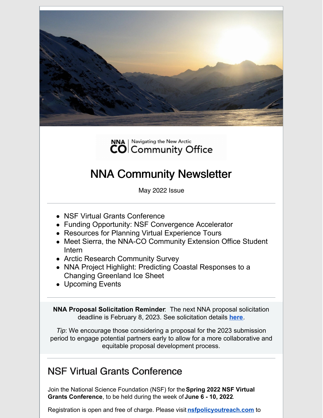



# NNA Community Newsletter

May 2022 Issue

- NSF Virtual Grants Conference
- Funding Opportunity: NSF Convergence Accelerator
- Resources for Planning Virtual Experience Tours
- Meet Sierra, the NNA-CO Community Extension Office Student Intern
- Arctic Research Community Survey
- NNA Project Highlight: Predicting Coastal Responses to a Changing Greenland Ice Sheet
- Upcoming Events

**NNA Proposal Solicitation Reminder**: The next NNA proposal solicitation deadline is February 8, 2023. See solicitation details **[here](https://www.nsf.gov/pubs/2022/nsf22520/nsf22520.htm)**.

*Tip*: We encourage those considering a proposal for the 2023 submission period to engage potential partners early to allow for a more collaborative and equitable proposal development process.

### NSF Virtual Grants Conference

Join the National Science Foundation (NSF) for the**Spring 2022 NSF Virtual Grants Conference**, to be held during the week of **June 6 - 10, 2022**.

Registration is open and free of charge. Please visi[t](https://r20.rs6.net/tn.jsp?f=0018y_gBdyxzJ4B9P-7zxuZQWCZtxS6OjQLR4PcsCjsRFTt33eJXAQkNlVWuaXikO92NM7SKGGRAWCILfrewADLA8umeqVxL3opoIYGhjMpstu7frAb7d_RMDbezbR0AIfGGOBgzoePWknUxjIYHP__ig==&c=jsrDMLbnuuFb9L-wTNS1_To9Gi4Mkz1VOleE-ztADq5kzC398Zfi9A==&ch=i-dEdVygYzfDKKwwxkWE9Dkolm-cHKgj8fJXzo092Bm9oFSdXDYBNg==) **[nsfpolicyoutreach.com](https://r20.rs6.net/tn.jsp?f=0018y_gBdyxzJ4B9P-7zxuZQWCZtxS6OjQLR4PcsCjsRFTt33eJXAQkNlVWuaXikO92NM7SKGGRAWCILfrewADLA8umeqVxL3opoIYGhjMpstu7frAb7d_RMDbezbR0AIfGGOBgzoePWknUxjIYHP__ig==&c=jsrDMLbnuuFb9L-wTNS1_To9Gi4Mkz1VOleE-ztADq5kzC398Zfi9A==&ch=i-dEdVygYzfDKKwwxkWE9Dkolm-cHKgj8fJXzo092Bm9oFSdXDYBNg==)** to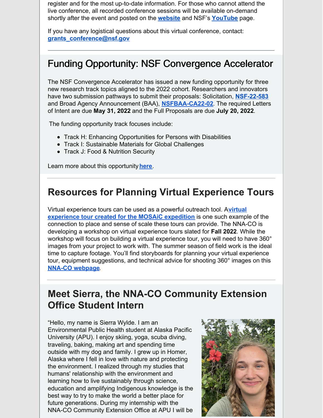register and for the most up-to-date information. For those who cannot attend the live conference, all recorded conference sessions will be available on-demand shortly after the event and posted on th[e](https://r20.rs6.net/tn.jsp?f=0018y_gBdyxzJ4B9P-7zxuZQWCZtxS6OjQLR4PcsCjsRFTt33eJXAQkNlVWuaXikO92NM7SKGGRAWCILfrewADLA8umeqVxL3opoIYGhjMpstu7frAb7d_RMDbezbR0AIfGGOBgzoePWknUxjIYHP__ig==&c=jsrDMLbnuuFb9L-wTNS1_To9Gi4Mkz1VOleE-ztADq5kzC398Zfi9A==&ch=i-dEdVygYzfDKKwwxkWE9Dkolm-cHKgj8fJXzo092Bm9oFSdXDYBNg==) **[website](https://r20.rs6.net/tn.jsp?f=0018y_gBdyxzJ4B9P-7zxuZQWCZtxS6OjQLR4PcsCjsRFTt33eJXAQkNlVWuaXikO92NM7SKGGRAWCILfrewADLA8umeqVxL3opoIYGhjMpstu7frAb7d_RMDbezbR0AIfGGOBgzoePWknUxjIYHP__ig==&c=jsrDMLbnuuFb9L-wTNS1_To9Gi4Mkz1VOleE-ztADq5kzC398Zfi9A==&ch=i-dEdVygYzfDKKwwxkWE9Dkolm-cHKgj8fJXzo092Bm9oFSdXDYBNg==)** and NSF'[s](https://r20.rs6.net/tn.jsp?f=0018y_gBdyxzJ4B9P-7zxuZQWCZtxS6OjQLR4PcsCjsRFTt33eJXAQkNhmei4H_eRFt7HNyqQzbEww2FAcuizDOyDE7D-C5gYYbf5cy4cqWSnhehvJpUF8p6eZ7I4TKzX0M5K6QrezlPz2SQiYtsXsJzCrLRsURdCxWohgaPRwAIxzcaP_J2BA0qNSF3Ok4qiRN5kRAmMKlM1YzZlOPIoXjI8fJmQa85lqOko3wURoDXJRpLlpf8--E_A2OYwUHBUFa2YsRlLAp3iKVzLE7s2wuvXkOhUzOa5SN_7vl7CTJMEoYDxcrlS09jsNj6JFV9oAFBPFI4DzrJLrlo0YRMvHlzX4iLkcediQ2AlsrYZs7r3p6MAc5FY9YIZZ8cfKU2xeK8Lgry1jhwErgnZmAkQYSvkekUKF2TYjoSocDceCsWJubfYEKwf4kj1_oo4Uz3cLYBCiIn31orO0Q2DADipm2lSDgsWubvPCf-7GWoN46wwr6sinc-AHeafp69anTUqLk0YPYtQCO51U19aThSHP4ustI0Vs1bA1_fDPaRm2NmgYnoBfwRa2fDZ0H_IR0wEcTGoD1tqhXe9ucUQfMhIpfS8369Q51e4G0CGZb9YgyJAPfXDIOlh-ENJB-QWw8hxaIH3TEgZ0NRNJq9uIavJTcMLv62Ym-ekT21NX-mZMaVQ5ZILwcocZhz4NMpUWzNnhcv0WWqIgeLHf0bPDjL_-8qciQ_8b7StwvBFysUWuGG24=&c=jsrDMLbnuuFb9L-wTNS1_To9Gi4Mkz1VOleE-ztADq5kzC398Zfi9A==&ch=i-dEdVygYzfDKKwwxkWE9Dkolm-cHKgj8fJXzo092Bm9oFSdXDYBNg==) **[YouTube](https://r20.rs6.net/tn.jsp?f=0018y_gBdyxzJ4B9P-7zxuZQWCZtxS6OjQLR4PcsCjsRFTt33eJXAQkNhmei4H_eRFt7HNyqQzbEww2FAcuizDOyDE7D-C5gYYbf5cy4cqWSnhehvJpUF8p6eZ7I4TKzX0M5K6QrezlPz2SQiYtsXsJzCrLRsURdCxWohgaPRwAIxzcaP_J2BA0qNSF3Ok4qiRN5kRAmMKlM1YzZlOPIoXjI8fJmQa85lqOko3wURoDXJRpLlpf8--E_A2OYwUHBUFa2YsRlLAp3iKVzLE7s2wuvXkOhUzOa5SN_7vl7CTJMEoYDxcrlS09jsNj6JFV9oAFBPFI4DzrJLrlo0YRMvHlzX4iLkcediQ2AlsrYZs7r3p6MAc5FY9YIZZ8cfKU2xeK8Lgry1jhwErgnZmAkQYSvkekUKF2TYjoSocDceCsWJubfYEKwf4kj1_oo4Uz3cLYBCiIn31orO0Q2DADipm2lSDgsWubvPCf-7GWoN46wwr6sinc-AHeafp69anTUqLk0YPYtQCO51U19aThSHP4ustI0Vs1bA1_fDPaRm2NmgYnoBfwRa2fDZ0H_IR0wEcTGoD1tqhXe9ucUQfMhIpfS8369Q51e4G0CGZb9YgyJAPfXDIOlh-ENJB-QWw8hxaIH3TEgZ0NRNJq9uIavJTcMLv62Ym-ekT21NX-mZMaVQ5ZILwcocZhz4NMpUWzNnhcv0WWqIgeLHf0bPDjL_-8qciQ_8b7StwvBFysUWuGG24=&c=jsrDMLbnuuFb9L-wTNS1_To9Gi4Mkz1VOleE-ztADq5kzC398Zfi9A==&ch=i-dEdVygYzfDKKwwxkWE9Dkolm-cHKgj8fJXzo092Bm9oFSdXDYBNg==)** page.

If you have any logistical questions about this virtual conference, contact: **[grants\\_conference@nsf.gov](mailto:grants_conference@nsf.gov)**

#### Funding Opportunity: NSF Convergence Accelerator

The NSF Convergence Accelerator has issued a new funding opportunity for three new research track topics aligned to the 2022 cohort. Researchers and innovators have two submission pathways to submit their proposals: Solicitation, **[NSF-22-583](https://bit.ly/CA_Solicitation_NSF-22-583?utm_medium=email&utm_source=govdelivery)** and Broad Agency Announcement (BAA), **[NSFBAA-CA22-02](https://bit.ly/NSFBAA-CA22-02?utm_medium=email&utm_source=govdelivery)**. The required Letters of Intent are due **May 31, 2022** and the Full Proposals are due **July 20, 2022**.

The funding opportunity track focuses include:

- Track H: Enhancing Opportunities for Persons with Disabilities
- Track I: Sustainable Materials for Global Challenges
- Track J: Food & Nutrition Security

Learn more about this opportunity**[here](https://content.govdelivery.com/accounts/USNSF/bulletins/31579a4)**.

#### **Resources for Planning Virtual Experience Tours**

Virtual experience tours can be used as a powerful outreach tool. A**virtual [experience](https://cires.colorado.edu/outreach/sites/default/files/application/icefloe/) tour created for the MOSAiC expedition** is one such example of the connection to place and sense of scale these tours can provide. The NNA-CO is developing a workshop on virtual experience tours slated for **Fall 2022**. While the workshop will focus on building a virtual experience tour, you will need to have 360° images from your project to work with. The summer season of field work is the ideal time to capture footage. You'll find storyboards for planning your virtual experience tour, equipment suggestions, and technical advice for shooting 360° images on this **NNA-CO [webpage](https://www.nna-co.org/virtual-experience-tour-resources)**.

### **Meet Sierra, the NNA-CO Community Extension Office Student Intern**

"Hello, my name is Sierra Wylde. I am an Environmental Public Health student at Alaska Pacific University (APU). I enjoy skiing, yoga, scuba diving, traveling, baking, making art and spending time outside with my dog and family. I grew up in Homer, Alaska where I fell in love with nature and protecting the environment. I realized through my studies that humans' relationship with the environment and learning how to live sustainably through science, education and amplifying Indigenous knowledge is the best way to try to make the world a better place for future generations. During my internship with the NNA-CO Community Extension Office at APU I will be

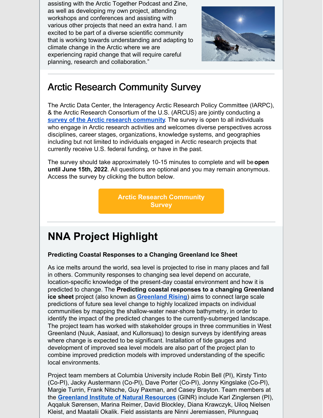assisting with the Arctic Together Podcast and Zine, as well as developing my own project, attending workshops and conferences and assisting with various other projects that need an extra hand. I am excited to be part of a diverse scientific community that is working towards understanding and adapting to climate change in the Arctic where we are experiencing rapid change that will require careful planning, research and collaboration."



### Arctic Research Community Survey

The Arctic Data Center, the Interagency Arctic Research Policy Committee (IARPC), & the Arctic Research Consortium of the U.S. (ARCUS) are jointly conducting a **survey of the Arctic research [community](https://ucsb.co1.qualtrics.com/jfe/form/SV_2fvlq2EL1VttKES?jfefe=old)**. The survey is open to all individuals who engage in Arctic research activities and welcomes diverse perspectives across disciplines, career stages, organizations, knowledge systems, and geographies including but not limited to individuals engaged in Arctic research projects that currently receive U.S. federal funding, or have in the past.

The survey should take approximately 10-15 minutes to complete and will be**open until June 15th, 2022**. All questions are optional and you may remain anonymous. Access the survey by clicking the button below.

> **Arctic Research [Community](https://ucsb.co1.qualtrics.com/jfe/form/SV_2fvlq2EL1VttKES?jfefe=old) Survey**

# **NNA Project Highlight**

#### **Predicting Coastal Responses to a Changing Greenland Ice Sheet**

As ice melts around the world, sea level is projected to rise in many places and fall in others. Community responses to changing sea level depend on accurate, location-specific knowledge of the present-day coastal environment and how it is predicted to change. The **Predicting coastal responses to a changing Greenland ice sheet** project (also known as **[Greenland](https://pgg.ldeo.columbia.edu/projects/greenland-rising) Rising**) aims to connect large scale predictions of future sea level change to highly localized impacts on individual communities by mapping the shallow-water near-shore bathymetry, in order to identify the impact of the predicted changes to the currently-submerged landscape. The project team has worked with stakeholder groups in three communities in West Greenland (Nuuk, Aasiaat, and Kullorsuaq) to design surveys by identifying areas where change is expected to be significant. Installation of tide gauges and development of improved sea level models are also part of the project plan to combine improved prediction models with improved understanding of the specific local environments.

Project team members at Columbia University include Robin Bell (PI), Kirsty Tinto (Co-PI), Jacky Austermann (Co-PI), Dave Porter (Co-PI), Jonny Kingslake (Co-PI), Margie Turrin, Frank Nitsche, Guy Paxman, and Casey Brayton. Team members at the **Greenland Institute of Natural [Resources](https://natur.gl/)** (GINR) include Karl Zinglersen (PI), Aqqaluk Sørensen, Marina Reimer, David Blockley, Diana Krawczyk, Uiloq Nielsen Kleist, and Maatalii Okalik. Field assistants are Ninni Jeremiassen, Pilunnguaq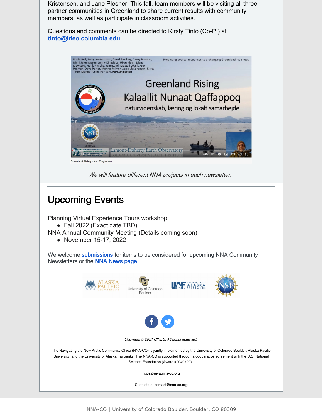Kristensen, and Jane Plesner. This fall, team members will be visiting all three partner communities in Greenland to share current results with community members, as well as participate in classroom activities.

Questions and comments can be directed to Kirsty Tinto (Co-PI) at **[tinto@ldeo.columbia.edu](mailto:tinto@ldeo.columbia.edu)**.



We will feature different NNA projects in each newsletter.

## Upcoming Events

Planning Virtual Experience Tours workshop

• Fall 2022 (Exact date TBD)

NNA Annual Community Meeting (Details coming soon)

• November 15-17, 2022

We welcome **[submissions](https://forms.gle/9CaWLsi42R4Q6ErRA)** for items to be considered for upcoming NNA Community Newsletters or the NNA [News](https://nna-co.org/news) page.











Copyright © 2021 CIRES, All rights reserved.

The Navigating the New Arctic Community Office (NNA-CO) is jointly implemented by the University of Colorado Boulder, Alaska Pacific University, and the University of Alaska Fairbanks. The NNA-CO is supported through a cooperative agreement with the U.S. National Science Foundation (Award #2040729).

[https://www.nna-co.org](https://www.nna-co.org/)

Contact us: [contact@nna-co.org](mailto:eloka@nsidc.org)